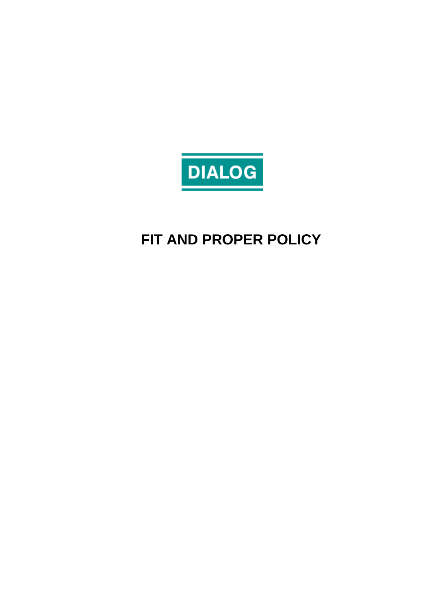

# **FIT AND PROPER POLICY**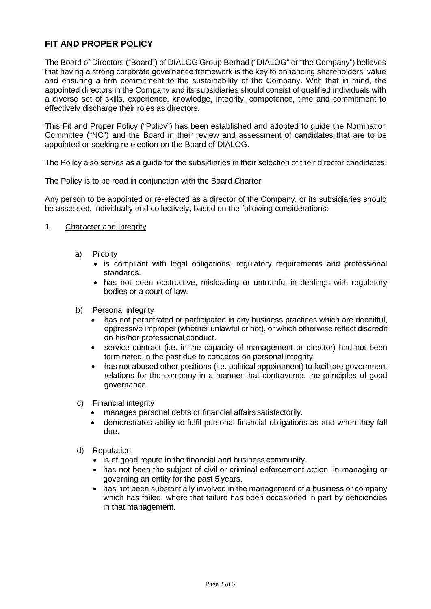## **FIT AND PROPER POLICY**

The Board of Directors ("Board") of DIALOG Group Berhad ("DIALOG" or "the Company") believes that having a strong corporate governance framework is the key to enhancing shareholders' value and ensuring a firm commitment to the sustainability of the Company. With that in mind, the appointed directors in the Company and its subsidiaries should consist of qualified individuals with a diverse set of skills, experience, knowledge, integrity, competence, time and commitment to effectively discharge their roles as directors.

This Fit and Proper Policy ("Policy") has been established and adopted to guide the Nomination Committee ("NC") and the Board in their review and assessment of candidates that are to be appointed or seeking re-election on the Board of DIALOG.

The Policy also serves as a guide for the subsidiaries in their selection of their director candidates.

The Policy is to be read in conjunction with the Board Charter.

Any person to be appointed or re-elected as a director of the Company, or its subsidiaries should be assessed, individually and collectively, based on the following considerations:-

- 1. Character and Integrity
	- a) Probity
		- is compliant with legal obligations, regulatory requirements and professional standards.
		- has not been obstructive, misleading or untruthful in dealings with regulatory bodies or a court of law.
	- b) Personal integrity
		- has not perpetrated or participated in any business practices which are deceitful, oppressive improper (whether unlawful or not), or which otherwise reflect discredit on his/her professional conduct.
		- service contract (i.e. in the capacity of management or director) had not been terminated in the past due to concerns on personal integrity.
		- has not abused other positions (i.e. political appointment) to facilitate government relations for the company in a manner that contravenes the principles of good governance.
	- c) Financial integrity
		- manages personal debts or financial affairs satisfactorily.
		- demonstrates ability to fulfil personal financial obligations as and when they fall due.
	- d) Reputation
		- is of good repute in the financial and business community.
		- has not been the subject of civil or criminal enforcement action, in managing or governing an entity for the past 5 years.
		- has not been substantially involved in the management of a business or company which has failed, where that failure has been occasioned in part by deficiencies in that management.